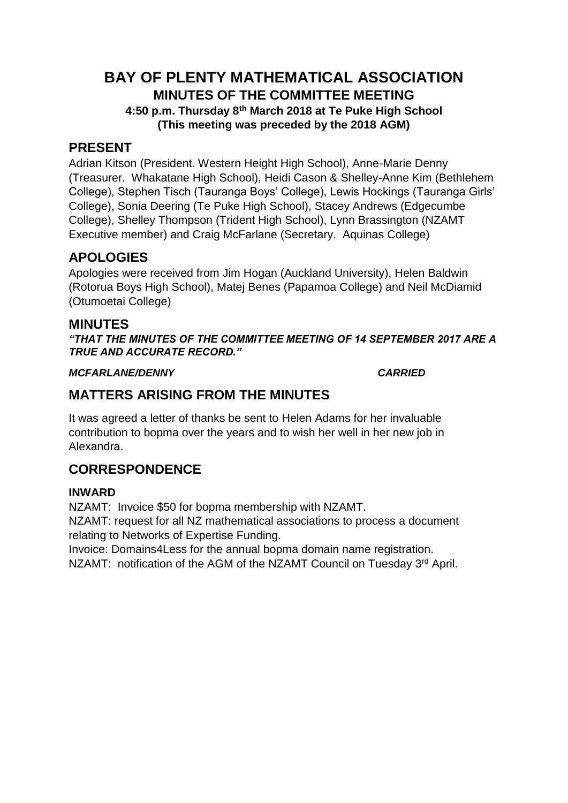# **BAY OF PLENTY MATHEMATICAL ASSOCIATION MINUTES OF THE COMMITTEE MEETING 4:50 p.m. Thursday 8th March 2018 at Te Puke High School (This meeting was preceded by the 2018 AGM)**

## **PRESENT**

Adrian Kitson (President. Western Height High School), Anne-Marie Denny (Treasurer. Whakatane High School), Heidi Cason & Shelley-Anne Kim (Bethlehem College), Stephen Tisch (Tauranga Boys' College), Lewis Hockings (Tauranga Girls' College), Sonia Deering (Te Puke High School), Stacey Andrews (Edgecumbe College), Shelley Thompson (Trident High School), Lynn Brassington (NZAMT Executive member) and Craig McFarlane (Secretary. Aquinas College)

# **APOLOGIES**

Apologies were received from Jim Hogan (Auckland University), Helen Baldwin (Rotorua Boys High School), Matej Benes (Papamoa College) and Neil McDiamid (Otumoetai College)

## **MINUTES**

*"THAT THE MINUTES OF THE COMMITTEE MEETING OF 14 SEPTEMBER 2017 ARE A TRUE AND ACCURATE RECORD."*

### *MCFARLANE/DENNY CARRIED*

# **MATTERS ARISING FROM THE MINUTES**

It was agreed a letter of thanks be sent to Helen Adams for her invaluable contribution to bopma over the years and to wish her well in her new job in Alexandra.

# **CORRESPONDENCE**

### **INWARD**

NZAMT: Invoice \$50 for bopma membership with NZAMT. NZAMT: request for all NZ mathematical associations to process a document relating to Networks of Expertise Funding.

Invoice: Domains4Less for the annual bopma domain name registration. NZAMT: notification of the AGM of the NZAMT Council on Tuesday 3<sup>rd</sup> April.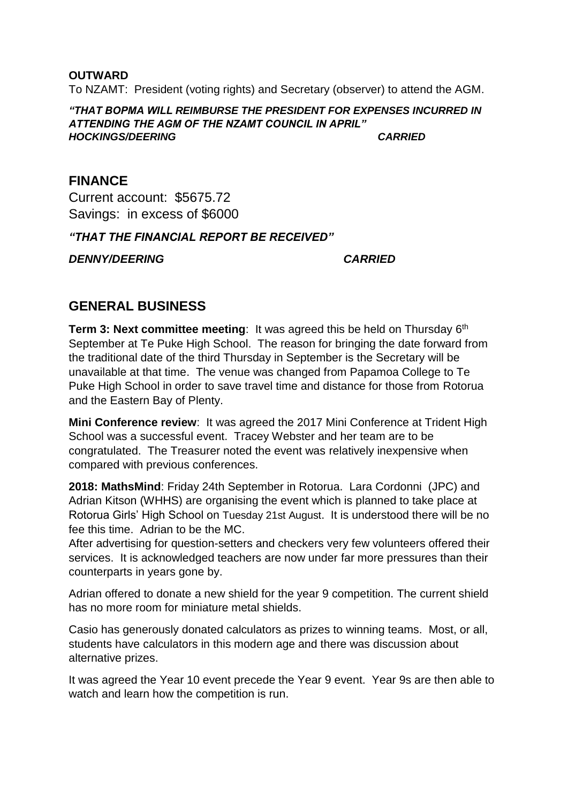To NZAMT: President (voting rights) and Secretary (observer) to attend the AGM.

#### *"THAT BOPMA WILL REIMBURSE THE PRESIDENT FOR EXPENSES INCURRED IN ATTENDING THE AGM OF THE NZAMT COUNCIL IN APRIL" HOCKINGS/DEERING CARRIED*

## **FINANCE**

**OUTWARD**

Current account: \$5675.72 Savings: in excess of \$6000

*"THAT THE FINANCIAL REPORT BE RECEIVED"*

*DENNY/DEERING CARRIED*

# **GENERAL BUSINESS**

**Term 3: Next committee meeting:** It was agreed this be held on Thursday 6<sup>th</sup> September at Te Puke High School. The reason for bringing the date forward from the traditional date of the third Thursday in September is the Secretary will be unavailable at that time. The venue was changed from Papamoa College to Te Puke High School in order to save travel time and distance for those from Rotorua and the Eastern Bay of Plenty.

**Mini Conference review**: It was agreed the 2017 Mini Conference at Trident High School was a successful event. Tracey Webster and her team are to be congratulated. The Treasurer noted the event was relatively inexpensive when compared with previous conferences.

**2018: MathsMind**: Friday 24th September in Rotorua. Lara Cordonni (JPC) and Adrian Kitson (WHHS) are organising the event which is planned to take place at Rotorua Girls' High School on Tuesday 21st August. It is understood there will be no fee this time. Adrian to be the MC.

After advertising for question-setters and checkers very few volunteers offered their services. It is acknowledged teachers are now under far more pressures than their counterparts in years gone by.

Adrian offered to donate a new shield for the year 9 competition. The current shield has no more room for miniature metal shields.

Casio has generously donated calculators as prizes to winning teams. Most, or all, students have calculators in this modern age and there was discussion about alternative prizes.

It was agreed the Year 10 event precede the Year 9 event. Year 9s are then able to watch and learn how the competition is run.